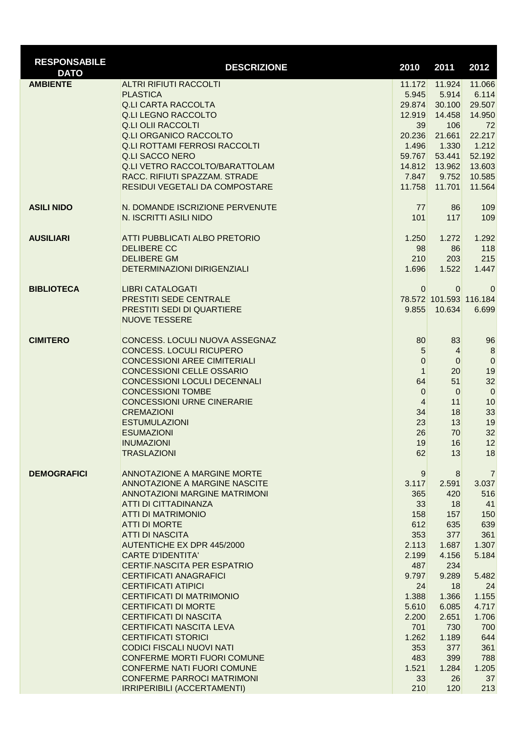| <b>RESPONSABILE</b><br><b>DATO</b> | <b>DESCRIZIONE</b>                                             | 2010                             | 2011              | 2012                   |
|------------------------------------|----------------------------------------------------------------|----------------------------------|-------------------|------------------------|
| <b>AMBIENTE</b>                    | <b>ALTRI RIFIUTI RACCOLTI</b>                                  | 11.172                           | 11.924            | 11.066                 |
|                                    | <b>PLASTICA</b>                                                | 5.945                            | 5.914             | 6.114                  |
|                                    | <b>Q.LI CARTA RACCOLTA</b>                                     | 29.874                           | 30.100            | 29.507                 |
|                                    | <b>Q.LI LEGNO RACCOLTO</b>                                     | 12.919                           | 14.458            | 14.950                 |
|                                    | <b>Q.LI OLII RACCOLTI</b>                                      | 39                               | 106               | 72                     |
|                                    | <b>Q.LI ORGANICO RACCOLTO</b>                                  | 20.236                           | 21.661            | 22.217                 |
|                                    | <b>Q.LI ROTTAMI FERROSI RACCOLTI</b><br><b>Q.LI SACCO NERO</b> | 1.496<br>59.767                  | 1.330<br>53.441   | 1.212<br>52.192        |
|                                    | Q.LI VETRO RACCOLTO/BARATTOLAM                                 | 14.812                           | 13.962            | 13.603                 |
|                                    | RACC. RIFIUTI SPAZZAM. STRADE                                  | 7.847                            | 9.752             | 10.585                 |
|                                    | RESIDUI VEGETALI DA COMPOSTARE                                 | 11.758                           | 11.701            | 11.564                 |
| <b>ASILI NIDO</b>                  | N. DOMANDE ISCRIZIONE PERVENUTE                                | 77                               | 86                | 109                    |
|                                    | N. ISCRITTI ASILI NIDO                                         | 101                              | 117               | 109                    |
| <b>AUSILIARI</b>                   | ATTI PUBBLICATI ALBO PRETORIO                                  | 1.250                            | 1.272             | 1.292                  |
|                                    | <b>DELIBERE CC</b>                                             | 98                               | 86                | 118                    |
|                                    | <b>DELIBERE GM</b>                                             | 210                              | 203               | 215                    |
|                                    | <b>DETERMINAZIONI DIRIGENZIALI</b>                             | 1.696                            | 1.522             | 1.447                  |
| <b>BIBLIOTECA</b>                  | <b>LIBRI CATALOGATI</b>                                        | $\Omega$                         | $\mathbf{0}$      | $\mathbf 0$            |
|                                    | PRESTITI SEDE CENTRALE                                         |                                  |                   | 78.572 101.593 116.184 |
|                                    | PRESTITI SEDI DI QUARTIERE                                     | 9.855                            | 10.634            | 6.699                  |
|                                    | <b>NUOVE TESSERE</b>                                           |                                  |                   |                        |
| <b>CIMITERO</b>                    | CONCESS. LOCULI NUOVA ASSEGNAZ                                 | 80                               | 83                | 96                     |
|                                    | <b>CONCESS. LOCULI RICUPERO</b>                                | 5                                | $\vert 4 \vert$   | $\boldsymbol{8}$       |
|                                    | <b>CONCESSIONI AREE CIMITERIALI</b>                            | $\mathbf 0$                      | $\mathbf 0$       | $\boldsymbol{0}$       |
|                                    | <b>CONCESSIONI CELLE OSSARIO</b>                               | $\mathbf{1}$                     | 20                | 19                     |
|                                    | CONCESSIONI LOCULI DECENNALI                                   | 64                               | 51                | 32                     |
|                                    | <b>CONCESSIONI TOMBE</b><br><b>CONCESSIONI URNE CINERARIE</b>  | $\overline{0}$<br>$\overline{4}$ | $\mathbf 0$<br>11 | $\overline{0}$<br>10   |
|                                    | <b>CREMAZIONI</b>                                              | 34                               | 18                | 33                     |
|                                    | <b>ESTUMULAZIONI</b>                                           | 23                               | 13                | 19                     |
|                                    | <b>ESUMAZIONI</b>                                              | 26                               | 70                | 32                     |
|                                    | <b>INUMAZIONI</b>                                              | 19                               | 16                | 12                     |
|                                    | <b>TRASLAZIONI</b>                                             | 62                               | 13                | 18                     |
| <b>DEMOGRAFICI</b>                 | ANNOTAZIONE A MARGINE MORTE                                    | 9                                | 8                 | $\overline{7}$         |
|                                    | ANNOTAZIONE A MARGINE NASCITE                                  | 3.117                            | 2.591             | 3.037                  |
|                                    | <b>ANNOTAZIONI MARGINE MATRIMONI</b><br>ATTI DI CITTADINANZA   | 365<br>33                        | 420<br>18         | 516<br>41              |
|                                    | <b>ATTI DI MATRIMONIO</b>                                      | 158                              | 157               | 150                    |
|                                    | <b>ATTI DI MORTE</b>                                           | 612                              | 635               | 639                    |
|                                    | <b>ATTI DI NASCITA</b>                                         | 353                              | 377               | 361                    |
|                                    | <b>AUTENTICHE EX DPR 445/2000</b>                              | 2.113                            | 1.687             | 1.307                  |
|                                    | <b>CARTE D'IDENTITA'</b>                                       | 2.199                            | 4.156             | 5.184                  |
|                                    | CERTIF.NASCITA PER ESPATRIO                                    | 487                              | 234               |                        |
|                                    | <b>CERTIFICATI ANAGRAFICI</b>                                  | 9.797                            | 9.289             | 5.482                  |
|                                    | <b>CERTIFICATI ATIPICI</b><br>CERTIFICATI DI MATRIMONIO        | 24                               | 18                | 24<br>1.155            |
|                                    | <b>CERTIFICATI DI MORTE</b>                                    | 1.388<br>5.610                   | 1.366<br>6.085    | 4.717                  |
|                                    | <b>CERTIFICATI DI NASCITA</b>                                  | 2.200                            | 2.651             | 1.706                  |
|                                    | CERTIFICATI NASCITA LEVA                                       | 701                              | 730               | 700                    |
|                                    | <b>CERTIFICATI STORICI</b>                                     | 1.262                            | 1.189             | 644                    |
|                                    | <b>CODICI FISCALI NUOVI NATI</b>                               | 353                              | 377               | 361                    |
|                                    | <b>CONFERME MORTI FUORI COMUNE</b>                             | 483                              | 399               | 788                    |
|                                    | <b>CONFERME NATI FUORI COMUNE</b>                              | 1.521                            | 1.284             | 1.205                  |
|                                    | <b>CONFERME PARROCI MATRIMONI</b>                              | 33                               | 26                | 37                     |
|                                    | IRRIPERIBILI (ACCERTAMENTI)                                    | 210                              | 120               | 213                    |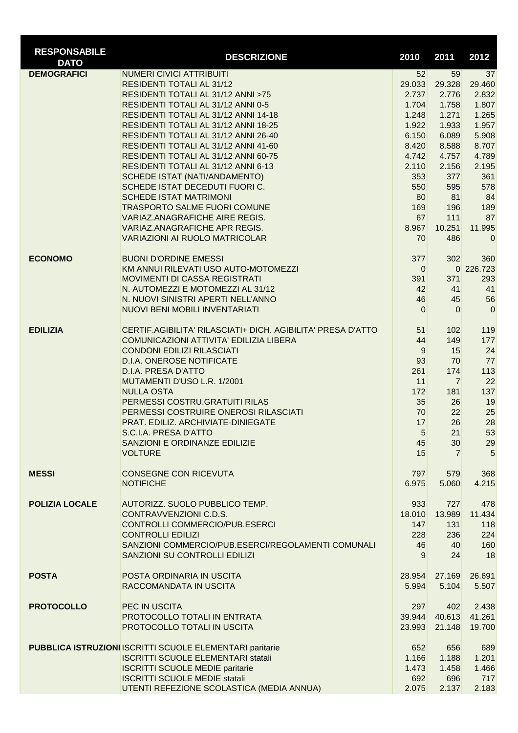| <b>RESPONSABILE</b><br><b>DATO</b> | <b>DESCRIZIONE</b>                                                        | 2010           | 2011           | 2012         |
|------------------------------------|---------------------------------------------------------------------------|----------------|----------------|--------------|
| <b>DEMOGRAFICI</b>                 | <b>NUMERI CIVICI ATTRIBUITI</b>                                           | 52             | 59             | 37           |
|                                    | RESIDENTI TOTALI AL 31/12                                                 | 29.033         | 29.328         | 29.460       |
|                                    | RESIDENTI TOTALI AL 31/12 ANNI >75                                        | 2.737          | 2.776          | 2.832        |
|                                    | RESIDENTI TOTALI AL 31/12 ANNI 0-5                                        | 1.704          | 1.758          | 1.807        |
|                                    | RESIDENTI TOTALI AL 31/12 ANNI 14-18                                      | 1.248          | 1.271          | 1.265        |
|                                    | RESIDENTI TOTALI AL 31/12 ANNI 18-25                                      | 1.922          | 1.933          | 1.957        |
|                                    | RESIDENTI TOTALI AL 31/12 ANNI 26-40                                      | 6.150          | 6.089          | 5.908        |
|                                    | RESIDENTI TOTALI AL 31/12 ANNI 41-60                                      | 8.420          | 8.588          | 8.707        |
|                                    | RESIDENTI TOTALI AL 31/12 ANNI 60-75                                      | 4.742          | 4.757          | 4.789        |
|                                    | RESIDENTI TOTALI AL 31/12 ANNI 6-13                                       | 2.110          | 2.156          | 2.195        |
|                                    | SCHEDE ISTAT (NATI/ANDAMENTO)                                             | 353            | 377            | 361          |
|                                    | SCHEDE ISTAT DECEDUTI FUORI C.<br><b>SCHEDE ISTAT MATRIMONI</b>           | 550<br>80      | 595            | 578<br>84    |
|                                    | <b>TRASPORTO SALME FUORI COMUNE</b>                                       | 169            | 81<br>196      | 189          |
|                                    | <b>VARIAZ.ANAGRAFICHE AIRE REGIS.</b>                                     | 67             | 111            | 87           |
|                                    | <b>VARIAZ.ANAGRAFICHE APR REGIS.</b>                                      | 8.967          | 10.251         | 11.995       |
|                                    | <b>VARIAZIONI AI RUOLO MATRICOLAR</b>                                     | 70             | 486            | $\mathbf 0$  |
|                                    |                                                                           |                |                |              |
| <b>ECONOMO</b>                     | <b>BUONI D'ORDINE EMESSI</b>                                              | 377            | 302            | 360          |
|                                    | KM ANNUI RILEVATI USO AUTO-MOTOMEZZI                                      | $\overline{0}$ |                | 0 226.723    |
|                                    | <b>MOVIMENTI DI CASSA REGISTRATI</b><br>N. AUTOMEZZI E MOTOMEZZI AL 31/12 | 391<br>42      | 371            | 293          |
|                                    | N. NUOVI SINISTRI APERTI NELL'ANNO                                        | 46             | 41<br>45       | 41<br>56     |
|                                    | NUOVI BENI MOBILI INVENTARIATI                                            | $\Omega$       | $\Omega$       | $\mathbf 0$  |
|                                    |                                                                           |                |                |              |
| <b>EDILIZIA</b>                    | CERTIF.AGIBILITA' RILASCIATI+ DICH. AGIBILITA' PRESA D'ATTO               | 51             | 102            | 119          |
|                                    | COMUNICAZIONI ATTIVITA' EDILIZIA LIBERA                                   | 44             | 149            | 177          |
|                                    | <b>CONDONI EDILIZI RILASCIATI</b>                                         | 9              | 15             | 24           |
|                                    | <b>D.I.A. ONEROSE NOTIFICATE</b>                                          | 93             | 70             | 77           |
|                                    | <b>D.I.A. PRESA D'ATTO</b>                                                | 261            | 174            | 113          |
|                                    | MUTAMENTI D'USO L.R. 1/2001                                               | 11             | $\overline{7}$ | 22           |
|                                    | <b>NULLA OSTA</b><br>PERMESSI COSTRU.GRATUITI RILAS                       | 172            | 181            | 137          |
|                                    | PERMESSI COSTRUIRE ONEROSI RILASCIATI                                     | 35<br>70       | 26<br>22       | 19<br>25     |
|                                    | PRAT. EDILIZ. ARCHIVIATE-DINIEGATE                                        | 17             | 26             | 28           |
|                                    | S.C.I.A. PRESA D'ATTO                                                     | $\overline{5}$ | 21             | 53           |
|                                    | SANZIONI E ORDINANZE EDILIZIE                                             | 45             | 30             | 29           |
|                                    | <b>VOLTURE</b>                                                            | 15             | 7              | 5            |
|                                    |                                                                           |                |                |              |
| <b>MESSI</b>                       | <b>CONSEGNE CON RICEVUTA</b><br><b>NOTIFICHE</b>                          | 797<br>6.975   | 579<br>5.060   | 368<br>4.215 |
|                                    |                                                                           |                |                |              |
| <b>POLIZIA LOCALE</b>              | AUTORIZZ. SUOLO PUBBLICO TEMP.                                            | 933            | 727            | 478          |
|                                    | CONTRAVVENZIONI C.D.S.                                                    | 18.010         | 13.989         | 11.434       |
|                                    | CONTROLLI COMMERCIO/PUB.ESERCI                                            | 147            | 131            | 118          |
|                                    | <b>CONTROLLI EDILIZI</b>                                                  | 228            | 236            | 224          |
|                                    | SANZIONI COMMERCIO/PUB.ESERCI/REGOLAMENTI COMUNALI                        | 46             | 40             | 160          |
|                                    | SANZIONI SU CONTROLLI EDILIZI                                             | 9              | 24             | 18           |
| <b>POSTA</b>                       | POSTA ORDINARIA IN USCITA                                                 | 28.954         | 27.169         | 26.691       |
|                                    | RACCOMANDATA IN USCITA                                                    | 5.994          | 5.104          | 5.507        |
| <b>PROTOCOLLO</b>                  | PEC IN USCITA                                                             | 297            | 402            | 2.438        |
|                                    | PROTOCOLLO TOTALI IN ENTRATA                                              | 39.944         | 40.613         | 41.261       |
|                                    |                                                                           |                |                |              |
|                                    | PROTOCOLLO TOTALI IN USCITA                                               | 23.993         | 21.148         | 19.700       |
|                                    | <b>PUBBLICA ISTRUZIONI ISCRITTI SCUOLE ELEMENTARI paritarie</b>           | 652            | 656            | 689          |
|                                    | <b>ISCRITTI SCUOLE ELEMENTARI statali</b>                                 | 1.166          | 1.188          | 1.201        |
|                                    | <b>ISCRITTI SCUOLE MEDIE paritarie</b>                                    | 1.473          | 1.458          | 1.466        |
|                                    | <b>ISCRITTI SCUOLE MEDIE statali</b>                                      | 692            | 696            | 717          |
|                                    | UTENTI REFEZIONE SCOLASTICA (MEDIA ANNUA)                                 | 2.075          | 2.137          | 2.183        |